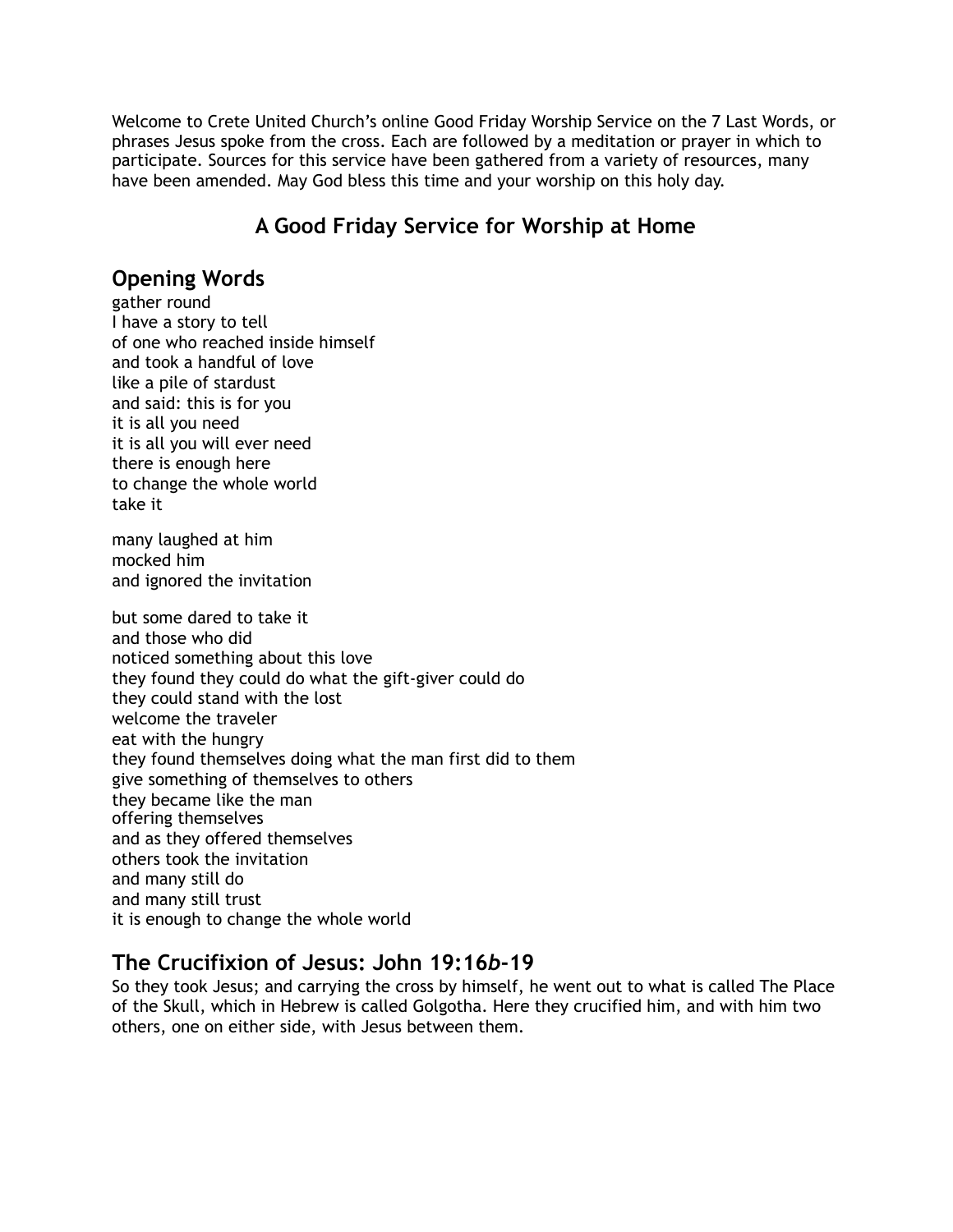Welcome to Crete United Church's online Good Friday Worship Service on the 7 Last Words, or phrases Jesus spoke from the cross. Each are followed by a meditation or prayer in which to participate. Sources for this service have been gathered from a variety of resources, many have been amended. May God bless this time and your worship on this holy day.

# **A Good Friday Service for Worship at Home**

#### **Opening Words**

gather round I have a story to tell of one who reached inside himself and took a handful of love like a pile of stardust and said: this is for you it is all you need it is all you will ever need there is enough here to change the whole world take it

many laughed at him mocked him and ignored the invitation

but some dared to take it and those who did noticed something about this love they found they could do what the gift-giver could do they could stand with the lost welcome the traveler eat with the hungry they found themselves doing what the man first did to them give something of themselves to others they became like the man offering themselves and as they offered themselves others took the invitation and many still do and many still trust it is enough to change the whole world

#### **The Crucifixion of Jesus: John 19:16***b***-19**

So they took Jesus; and carrying the cross by himself, he went out to what is called The Place of the Skull, which in Hebrew is called Golgotha. Here they crucified him, and with him two others, one on either side, with Jesus between them.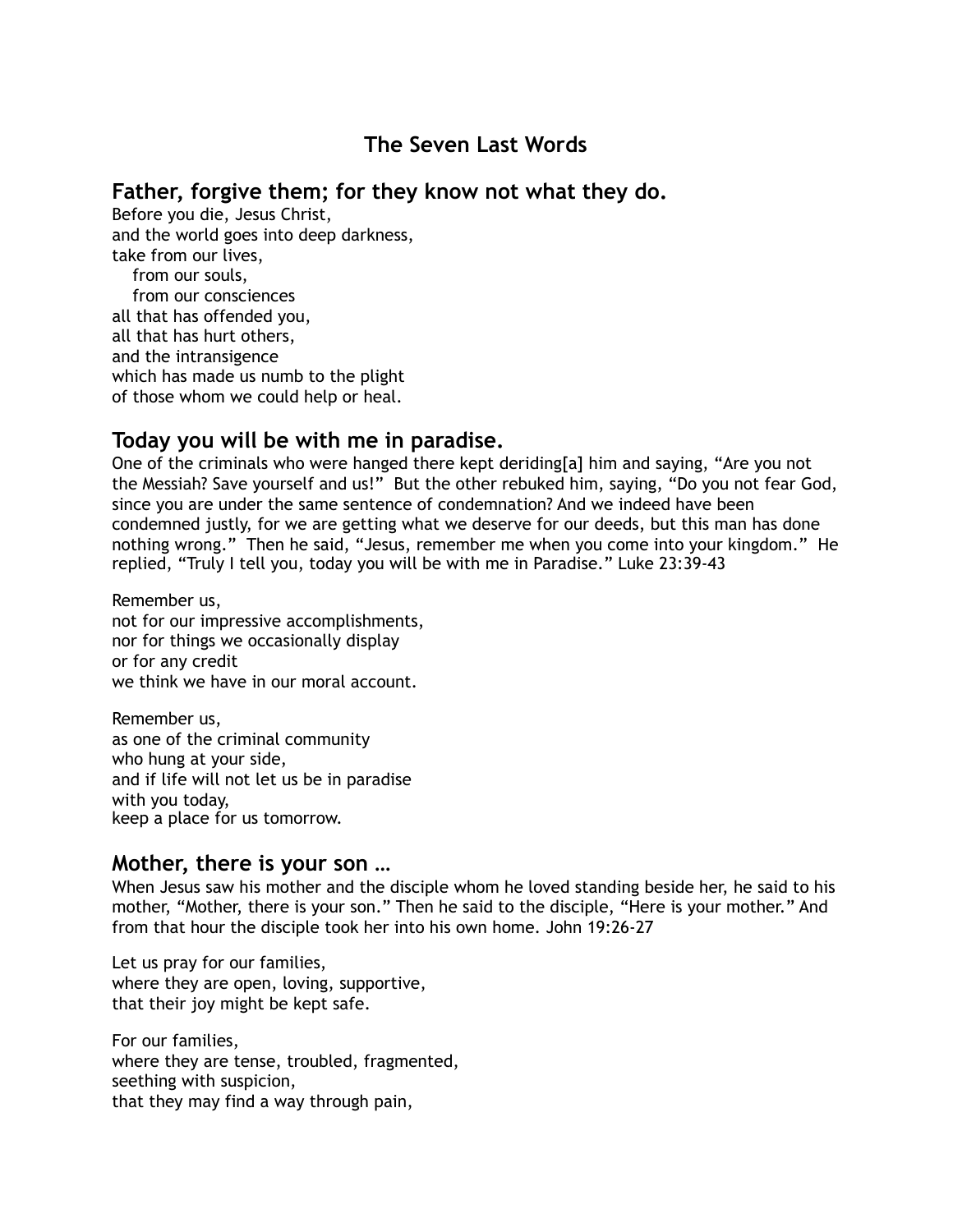# **The Seven Last Words**

#### **Father, forgive them; for they know not what they do.**

Before you die, Jesus Christ, and the world goes into deep darkness, take from our lives, from our souls, from our consciences all that has offended you, all that has hurt others, and the intransigence which has made us numb to the plight of those whom we could help or heal.

## **Today you will be with me in paradise.**

One of the criminals who were hanged there kept deriding[a] him and saying, "Are you not the Messiah? Save yourself and us!" But the other rebuked him, saying, "Do you not fear God, since you are under the same sentence of condemnation? And we indeed have been condemned justly, for we are getting what we deserve for our deeds, but this man has done nothing wrong." Then he said, "Jesus, remember me when you come into your kingdom." He replied, "Truly I tell you, today you will be with me in Paradise." Luke 23:39-43

Remember us, not for our impressive accomplishments, nor for things we occasionally display or for any credit we think we have in our moral account.

Remember us, as one of the criminal community who hung at your side, and if life will not let us be in paradise with you today, keep a place for us tomorrow.

#### **Mother, there is your son …**

When Jesus saw his mother and the disciple whom he loved standing beside her, he said to his mother, "Mother, there is your son." Then he said to the disciple, "Here is your mother." And from that hour the disciple took her into his own home. John 19:26-27

Let us pray for our families, where they are open, loving, supportive, that their joy might be kept safe.

For our families, where they are tense, troubled, fragmented, seething with suspicion, that they may find a way through pain,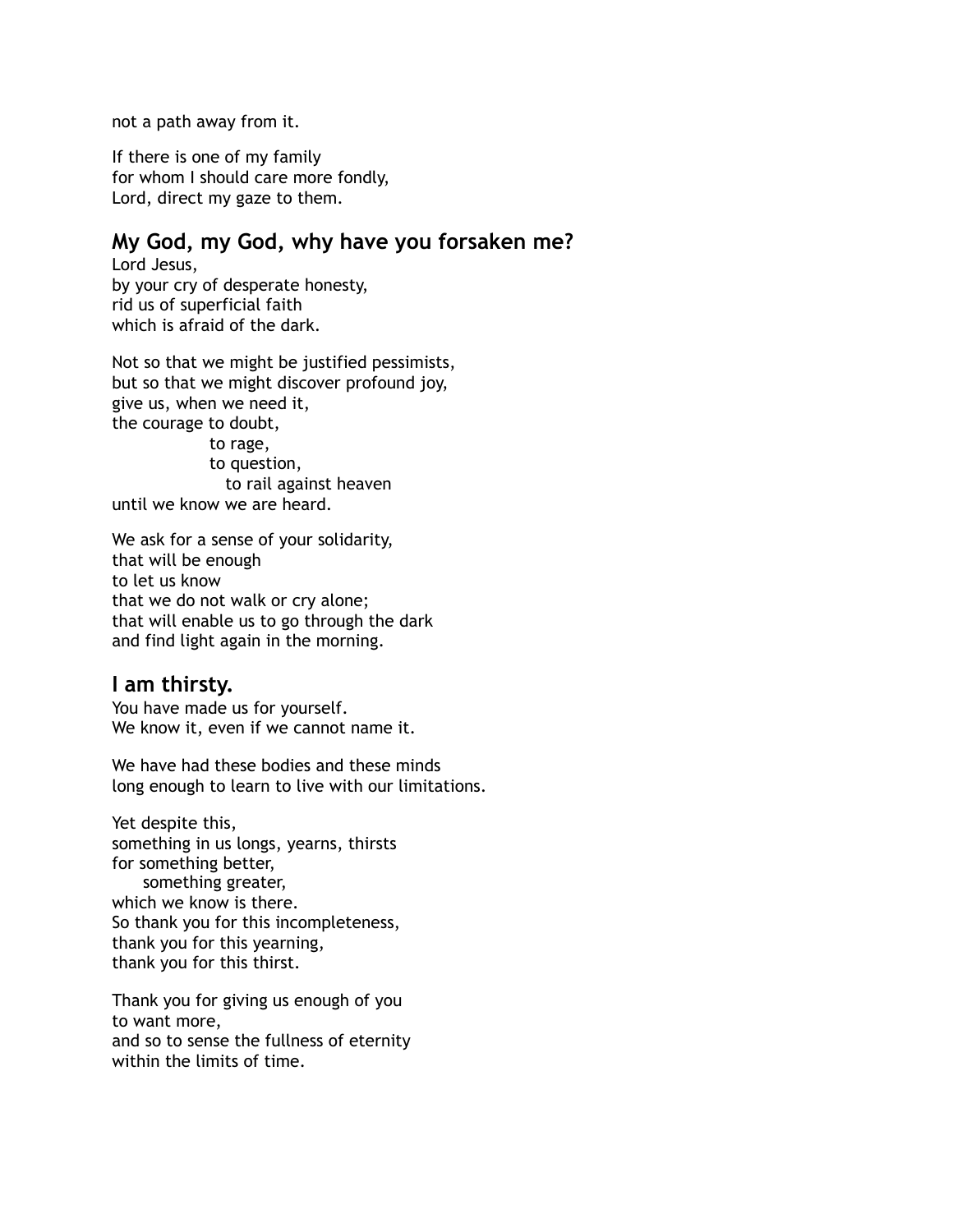not a path away from it.

If there is one of my family for whom I should care more fondly, Lord, direct my gaze to them.

### **My God, my God, why have you forsaken me?**

Lord Jesus, by your cry of desperate honesty, rid us of superficial faith which is afraid of the dark.

Not so that we might be justified pessimists, but so that we might discover profound joy, give us, when we need it, the courage to doubt,

 to rage, to question, to rail against heaven until we know we are heard.

We ask for a sense of your solidarity, that will be enough to let us know that we do not walk or cry alone; that will enable us to go through the dark and find light again in the morning.

#### **I am thirsty.**

You have made us for yourself. We know it, even if we cannot name it.

We have had these bodies and these minds long enough to learn to live with our limitations.

Yet despite this, something in us longs, yearns, thirsts for something better, something greater, which we know is there. So thank you for this incompleteness, thank you for this yearning, thank you for this thirst.

Thank you for giving us enough of you to want more, and so to sense the fullness of eternity within the limits of time.